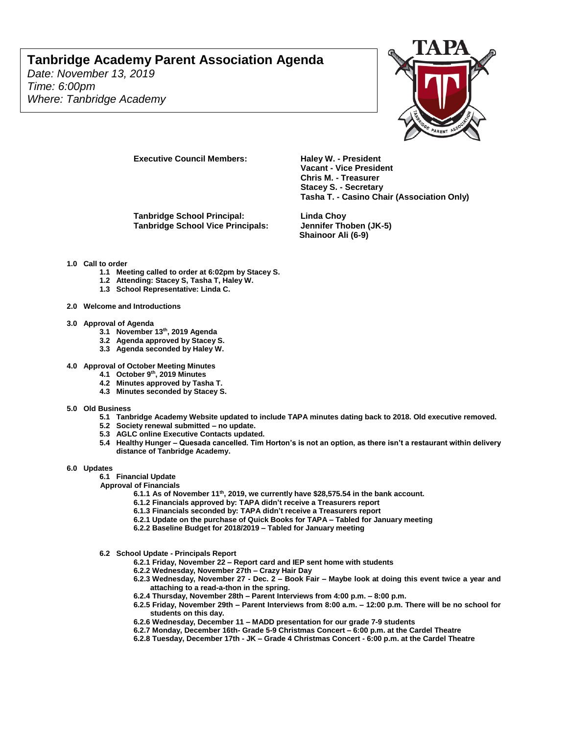# **Tanbridge Academy Parent Association Agenda**

*Date: November 13, 2019 Time: 6:00pm Where: Tanbridge Academy*



**Executive Council Members: Haley W. - President** 

**Tanbridge School Principal: Linda Choy Tanbridge School Vice Principals: Jennifer Thoben (JK-5)**

**Vacant - Vice President Chris M. - Treasurer Stacey S. - Secretary Tasha T. - Casino Chair (Association Only)**

**Shainoor Ali (6-9)**

- **1.0 Call to order**
	- **1.1 Meeting called to order at 6:02pm by Stacey S.**
	- **1.2 Attending: Stacey S, Tasha T, Haley W.**
	- **1.3 School Representative: Linda C.**
- **2.0 Welcome and Introductions**
- **3.0 Approval of Agenda** 
	- **3.1 November 13th, 2019 Agenda**
	- **3.2 Agenda approved by Stacey S.**
	- **3.3 Agenda seconded by Haley W.**
- **4.0 Approval of October Meeting Minutes**
	- **4.1 October 9th, 2019 Minutes**
	- **4.2 Minutes approved by Tasha T.**
	- **4.3 Minutes seconded by Stacey S.**
- **5.0 Old Business** 
	- **5.1 Tanbridge Academy Website updated to include TAPA minutes dating back to 2018. Old executive removed.**
	- **5.2 Society renewal submitted – no update.**
	- **5.3 AGLC online Executive Contacts updated.**
	- **5.4 Healthy Hunger – Quesada cancelled. Tim Horton's is not an option, as there isn't a restaurant within delivery distance of Tanbridge Academy.**
- **6.0 Updates** 
	- **6.1 Financial Update**
	- **Approval of Financials**
		- **6.1.1 As of November 11th, 2019, we currently have \$28,575.54 in the bank account.**
		- **6.1.2 Financials approved by: TAPA didn't receive a Treasurers report**
		- **6.1.3 Financials seconded by: TAPA didn't receive a Treasurers report**
		- **6.2.1 Update on the purchase of Quick Books for TAPA – Tabled for January meeting**
		- **6.2.2 Baseline Budget for 2018/2019 – Tabled for January meeting**

**6.2 School Update - Principals Report**

- **6.2.1 Friday, November 22 – Report card and IEP sent home with students**
- **6.2.2 Wednesday, November 27th – Crazy Hair Day**
- **6.2.3 Wednesday, November 27 - Dec. 2 – Book Fair – Maybe look at doing this event twice a year and attaching to a read-a-thon in the spring.**
- **6.2.4 Thursday, November 28th – Parent Interviews from 4:00 p.m. – 8:00 p.m.**
- **6.2.5 Friday, November 29th – Parent Interviews from 8:00 a.m. – 12:00 p.m. There will be no school for students on this day.**
- **6.2.6 Wednesday, December 11 – MADD presentation for our grade 7-9 students**
- **6.2.7 Monday, December 16th- Grade 5-9 Christmas Concert – 6:00 p.m. at the Cardel Theatre**
- **6.2.8 Tuesday, December 17th - JK – Grade 4 Christmas Concert - 6:00 p.m. at the Cardel Theatre**